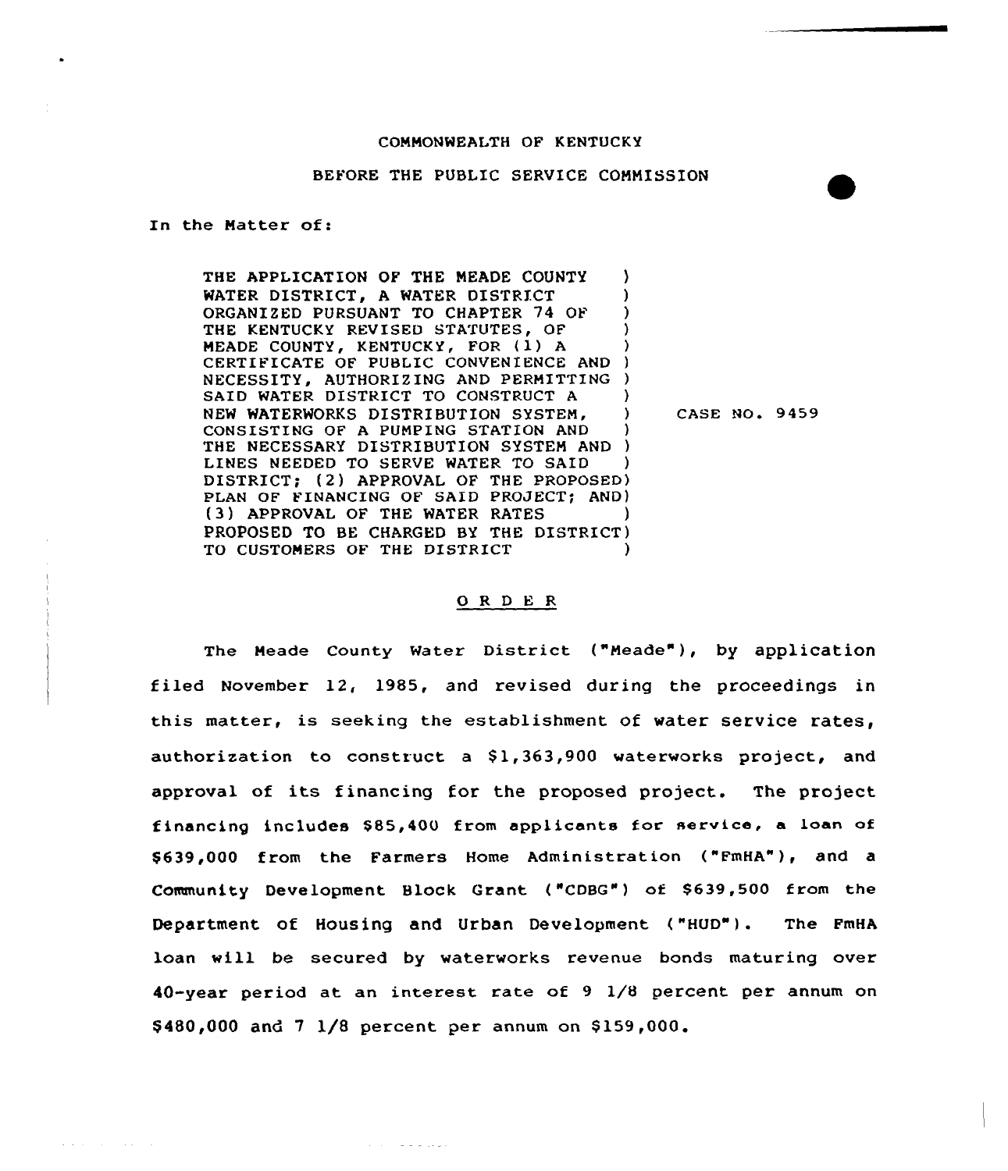### COMMONWEALTH OF KENTUCKY

## BEFORE THE PUBLIC SERVICE COMMISSION

In the Matter of:

and the company of the

THE APPLICATION OF THE MEADE COUNTY WATER DISTRICT. A WATER DISTRICT ORGANIZED PURSUANT TO CHAPTER 74 OF THE KENTUCKY REVISED STATUTES, OF MEADE COUNTY, KENTUCKY, FOR (1) A CERTIFICATE OF PUBLIC CONVENIENCE AND ) NECESSITY, AUTHORIZING AND PERMITTING ) SAID WATER DISTRICT TO CONSTRUCT A (2) NEW WATERWORKS DISTRIBUTION SYSTEM. CONSISTING OF A PUMPING STATION AND THE NECESSARY DISTRIBUTION SYSTEM AND ) LINES NEEDED TO SERVE WATER TO SAID DISTRICT: (2) APPROVAL OF THE PROPOSED) PLAN OF FINANCING OF SAID PROJECT; AND) (3) APPROVAL OF THE WATER RATES PROPOSED TO BE CHARGED BY THE DISTRICT) TO CUSTOMERS OF THE DISTRICT

ولوعد فالمتماز والمرابي

CASE NO. 9459

### 0 <sup>R</sup> <sup>D</sup> <sup>E</sup> <sup>R</sup>

The Meade County Water District ("Meade"), by application filed November 12, 1985, and revised during the proceedings in this matter, is seeking the establishment of water service rates, authorization to construct a \$1,363,900 waterworks project, and approval of its financing for the proposed project. The project financing includes \$85,400 from applicants for service, a loan of \$639,000 from the Farmers Home Administration ("FmHA"), and a Community Deve lopment Block Grant ( "CDBG" ) of \$ 639, 500 from the Department of Housing and Urban Development ("HUD"). The FmHA loan will be secured by waterworks revenue bonds maturing over 40-year period at an interest rate of 9 1/8 percent per annum on  $$480,000$  and  $7$   $1/8$  percent per annum on  $$159,000$ .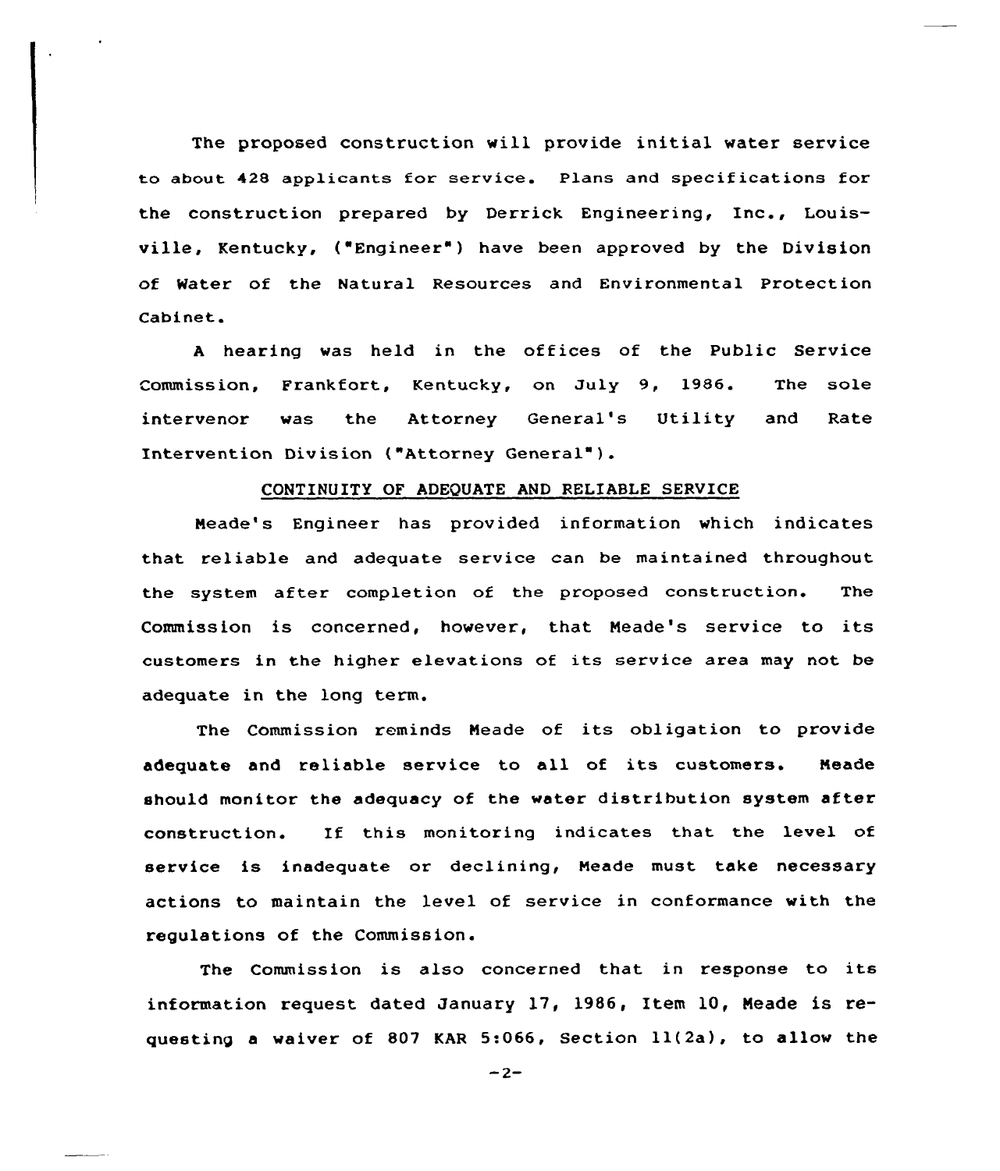The proposed construction will provide initial water service to about 42S applicants for service. Plans and specif ications fox the construction prepared by Derrick Engineering, Inc., Louisville, Kentucky, ("Engineer") have been approved by the Division of Water of the Natural Resources and Environmental Protection Cabinet.

<sup>A</sup> hearing was held in the offices of the Public Service ommission, Frankfort, Kentucky, on July 9, 1986. The sole intervenox was the Attorney General's Utility and Rate Intervention Division ("Attorney General" ).

#### CONTINUITY OF ADEQUATE AND RELIABLE SERVICE

Meade's Engineer has provided information which indicates that reliable and adequate service can be maintained throughout the system after completion of the proposed construction. The Commission is concerned, however, that Neade's service to its customers in the higher elevations of its service area may not be adequate in the long term.

The Commission reminds Neade of its obligation to provide adequate and reliable service to all of its customers. Meade should monitor the adequacy of the water distribution system after construction. If this monitoring indicates that the level of service is inadequate or declining, Neade must take necessaxy actions to maintain the level of service in conformance with the regulations of the Commission.

The Commission is also concerned that in response to its information request dated January 17, 1986, Item 10, Meade is requesting <sup>a</sup> waiver of 807 KAR 5:066, Section ll(2a), to allow the

 $-2-$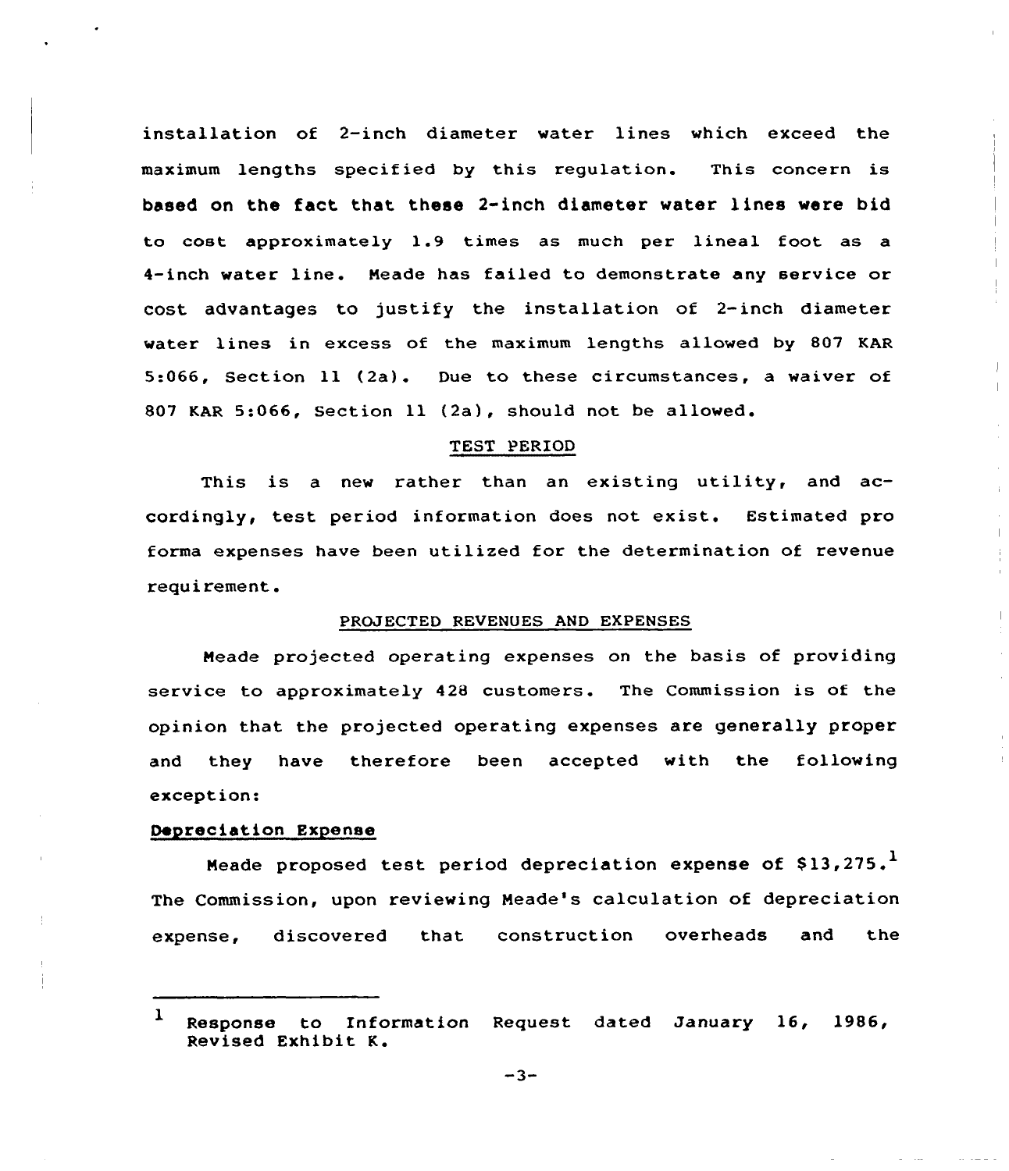installation of 2-inch diameter water lines which exceed the maximum lengths specified by this regulation. This concern is based on the fact that these 2-inch diameter water lines were bid to cost approximately 1.9 times as much per lineal foot as a 4-inch water line. Meade has failed to demonstrate any service or cost advantages to justify the installation of 2-inch diameter water lines in excess of the maximum lengths allowed by 807 KAR 5:066, Section ll (2a). Due to these circumstances, <sup>a</sup> waiver of <sup>807</sup> KAR 5:066, Section ll (2a), should not be

## TEST PERIOD

This is a new rather than an existing utility, and accordingly, test period information does not exist. Estimated pro forma expenses have been utilized for the determination of revenue requirement.

## PROJECTED REVENUES AND EXPENSES

Meade projected operating expenses on the basis of providing service to approximately 428 customers. The Commission is of the opinion that the projected operating expenses are generally proper and they have therefore been accepted with the following exception:

#### Depreciation Expense

Meade proposed test period depreciation expense of  $$13,275$ . The Commission, upon reviewing Meade's calculation of depreciation expense, discovered that construction overheads and the

<sup>1</sup> Response to Enformation Request dated January 16, 1986, Revised Exhibit <sup>K</sup>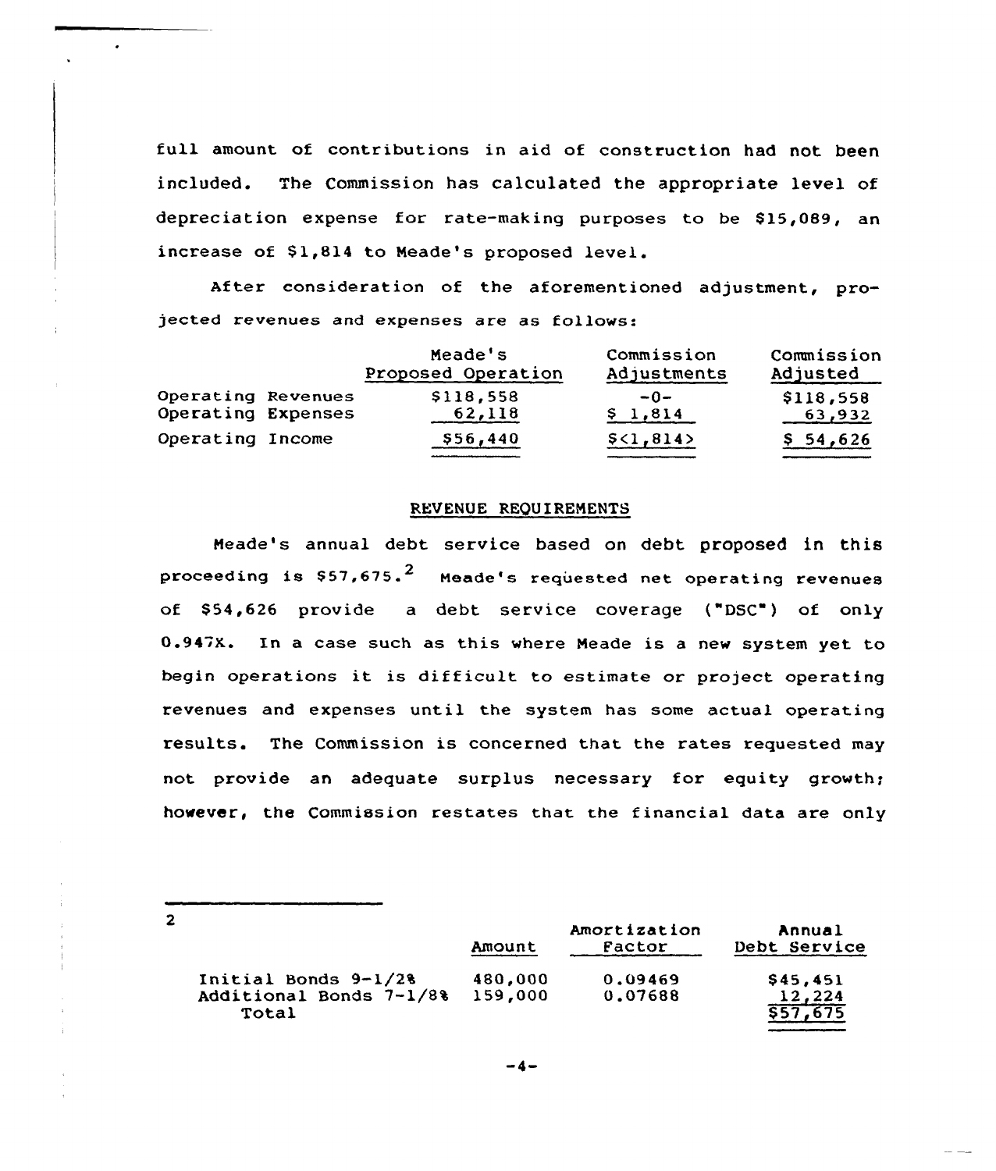full amount of contributions in aid of construction had not been included. The Commission has calculated the appropriate level cf depreciation expense for rate-making purposes to be \$15,089, an increase of S1,814 to Meade's proposed level.

After consideration of the aforementioned adjustment, projected revenues and expenses are as follows:

|                    | Meade's<br>Proposed Operation | Commission<br>Adjustments | Commission<br>Adjusted |
|--------------------|-------------------------------|---------------------------|------------------------|
| Operating Revenues | \$118,558                     | $-0-$                     | \$118,558              |
| Operating Expenses | 62,118                        | \$1,814                   | 63,932                 |
| Operating Income   | \$56,440                      | \$<1,814>                 | \$54,626               |

#### REVENUE REQUIREMENTS

Neade's annual debt service based on debt proposed in this proceeding is  $$57,675.^2$  Meade's requested net operating revenues of \$54.626 provide a debt service coverage ("DSC") of only 0.947X. In a case such as this where Neade is a new system yet to begin operations it is difficult to estimate or project operating revenues and expenses until the system has some actual operating results. The Commission is concerned that the rates requested may not provide an adequate surplus necessary for equity growth; however, the Commission restates that the financial data are only

 $\overline{2}$ 

|                                                            | Amount             | Amortization<br>Factor | Annual<br>Debt Service         |
|------------------------------------------------------------|--------------------|------------------------|--------------------------------|
| Initial Bonds $9-1/28$<br>Additional Bonds 7-1/8%<br>Total | 480,000<br>159,000 | 0.09469<br>0.07688     | \$45,451<br>12,224<br>\$57,675 |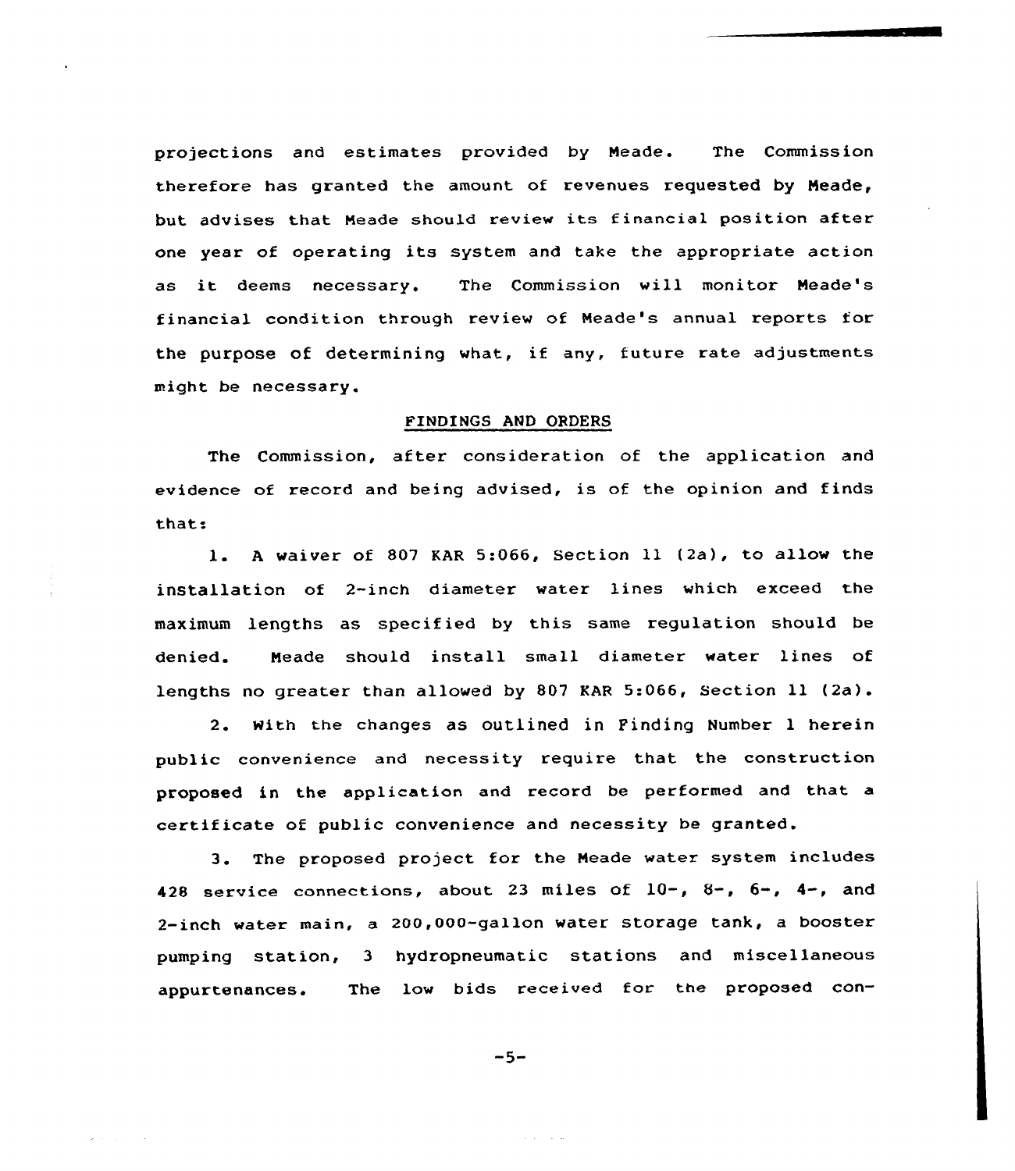projections and estimates provided by Neade. The Commission therefore has granted the amount of revenues requested by Neade, but advises that Neade should review its financial position after one year of operating its system and take the appropriate action as it deems necessary. The Commission will monitor Neade's financial condition through review of Neade's annual reports for the purpose of determining what, if any, future rate adjustments might be necessary.

# FINDINGS AND ORDERS

The Commission, after consideration of the application and evidence of record and being advised, is of the opinion and finds that.

l. <sup>A</sup> waiver of <sup>807</sup> KAR 5:066, Section <sup>11</sup> (2a), to allow the installation of 2-inch diameter water lines which exceed the maximum lengths as specified by this same regulation should be denied. Meade should install small diameter water lines of lengths no greater than allowed by 807 KAR 5:066, Section ll (2a).

2. with the changes as outlined in Pinding Number <sup>1</sup> herein public convenience and necessity require that the construction proposed in the application and record be performed and that a certificate of public convenience and necessity be granted.

3. The proposed project for the Neade water system includes 428 service connections, about 23 miles of  $10-$ ,  $8-$ ,  $6-$ ,  $4-$ , and 2-inch water main, a 200,000-gallon water storage tank, a booster pumping station, 3 hydropneumatic stations and miscellaneous appurtenances. The low bids received for the proposed con-

$$
-5-
$$

and the same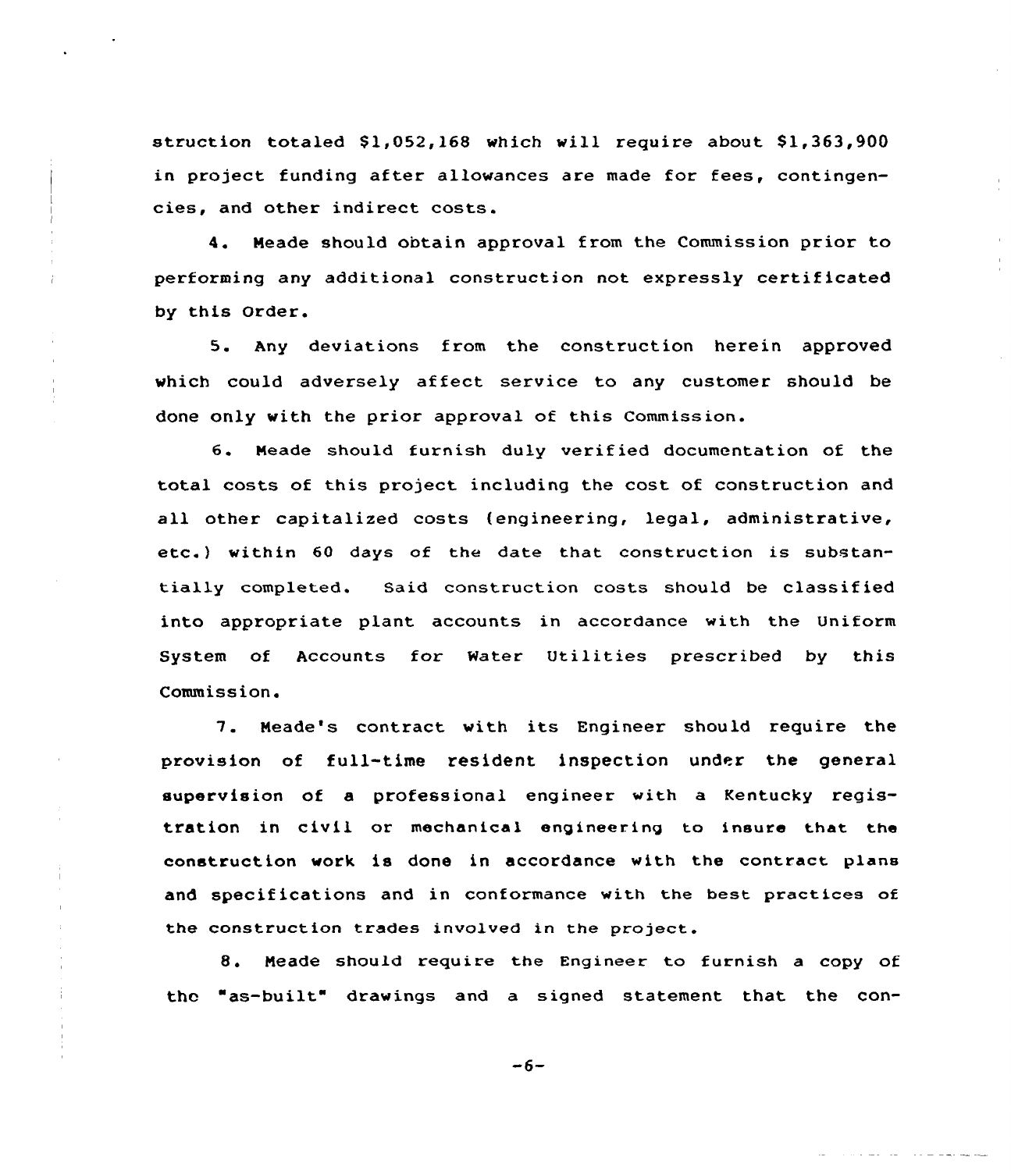struction totaled  $$1,052,168$  which will require about  $$1,363,900$ in project funding after allowances are made for fees, contingencies, and other indirect costs.

4. Neade should obtain approval from the Commission prior to performing any additional construction not expressly certificated by this Order.

5. Any deviations from the construction herein approved which could adversely affect service to any customer should be done only with the prior approval of this Commission.

6. Meade should furnish duly verified documentation of the total costs of this pxoject including the cost of construction and all other capitalized costs (engineering, legal, administrative, etc.) within <sup>60</sup> days of the date that construction is substantially completed. Said construction costs should be classified into appropriate plant accounts in accordance with the Uniform System of Accounts for Water Utilities prescribed by this Commission.

7. Meade's contract with its Engineer should require the provision of full-time resident inspection under the general supervision of a professional engineer with a Kentucky registration in civil or mechanical engineering to insure that. the construction work ia done in accordance with the contract plans and specifications and in conformance with the best practices of the construction trades involved in the project.

8. Meade should require the Engineer to furnish a copy of thc "as-built" drawings and a signed statement that the con-

 $-6-$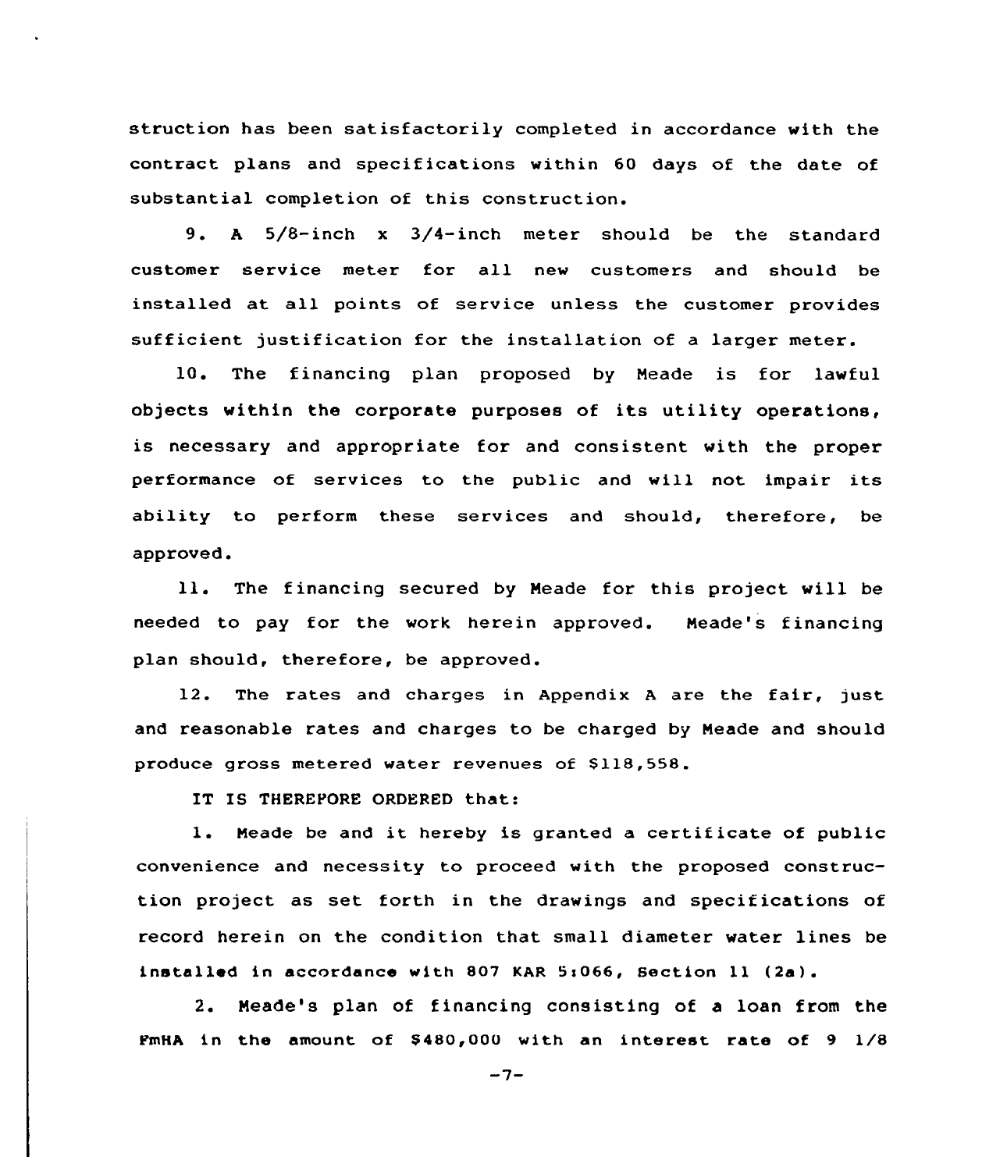struction has been satisfactorily completed in accordance with the contract plans and specifications within 60 days of the date of substantial completion of this construction.

9. <sup>A</sup> 5/8-inch <sup>x</sup> 3/4-inch meter should be the standard customer service meter for all new customers and should be installed at all points of service unless the customer provides sufficient justification for the installation of a larger meter.

10. The financing plan proposed by Meade is for lawful objects within the corporate purposes of its utility operations, is necessary and appropriate for and consistent with the proper performance of services to the public and will not impair its ability to perform these services and should, therefore, be approved.

ll. The financing secured by Meade for this project will be needed to pay for the work herein approved. Meade's financing plan should, therefore, be approved.

12. The rates and charges in Appendix <sup>A</sup> are the fair, just and reasonable rates and charges to be charged by Meade and should produce gross metered water revenues of \$118,558.

IT IS THEREFORE ORDERED that:

l. Meade be and it hereby is granted <sup>a</sup> certificate of public convenience and necessity to proceed with the proposed construction project as set forth in the drawings and specifications of record herein on the condition that small diameter water lines be installed in accordance with 807 KAR 5:066, Section 11 (2a).

2. Meade's plan of financing consisting of a loan from the FmHA in the amount of  $$480,000$  with an interest rate of 9  $1/8$ 

 $-7-$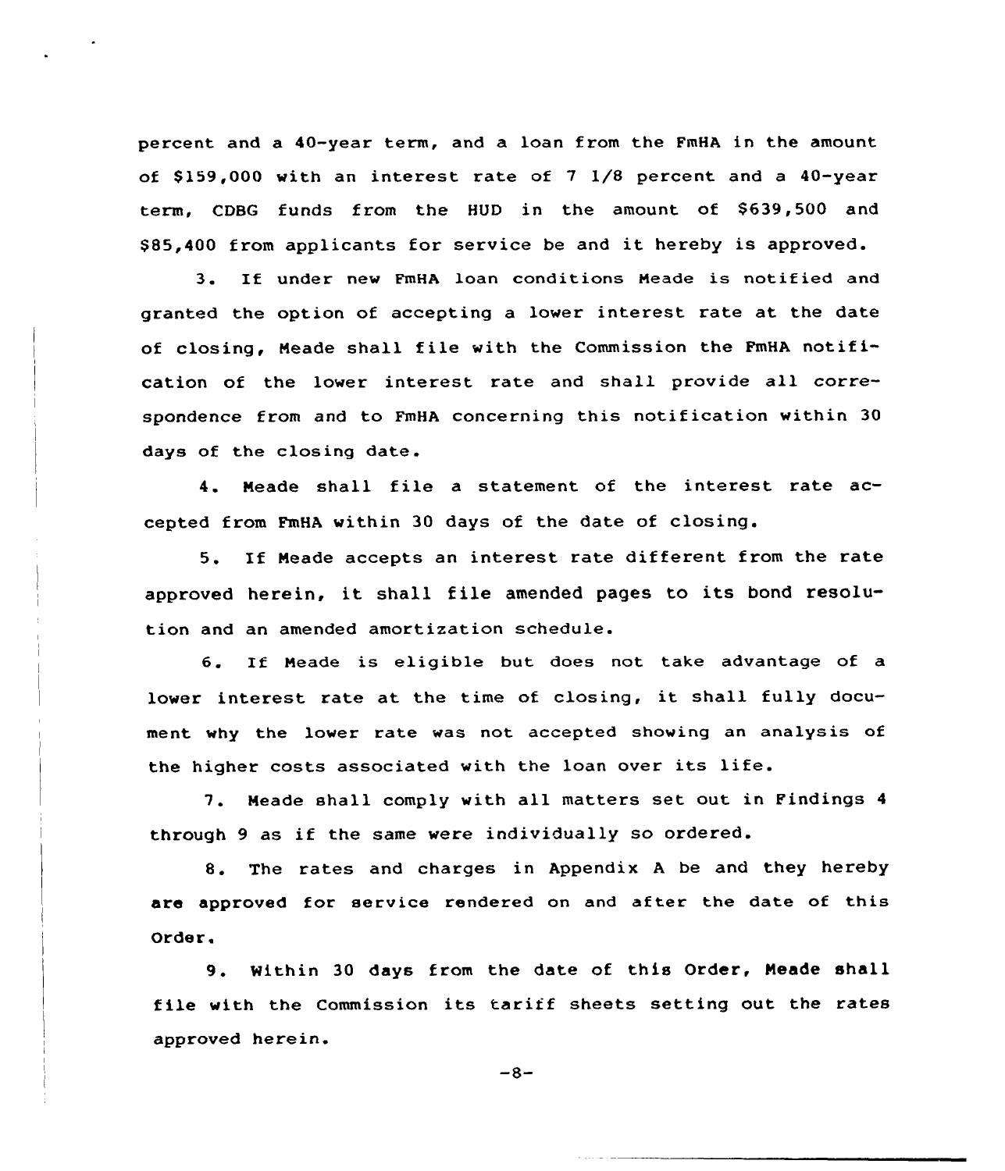percent and a 40-year term, and a loan from the FmHA in the amount of \$159,000 with an interest rate of  $7 \frac{1}{8}$  percent and a 40-year term, CDBG funds from the HUD in the amount of \$639,500 and \$ 85,400 from applicants for service be and it hereby is approved.

3. If under new FmHA loan conditions Neade is notified and granted the option of accepting a lower interest rate at the date of closing, Neade shall file with the Commission the FmHA notification of the lower interest rate and shall provide all correspondence from and to FmHA concerning this notification within 30 days of the closing date.

4. Neade shall file <sup>a</sup> statement of the interest rate accepted from FmHA within 30 days of the date of closing.

5. If Neade accepts an interest rate different from the rate approved herein, it shall file amended pages to its bond resolution and an amended amortization schedule.

6. If Neade is eligible but does not take advantage of <sup>a</sup> lower interest rate at the time of closing, it shall fully document why the lower rate was not accepted showing an analysis of the higher costs associated with the loan over its life.

7. Neade shall comply with all matters set out in Findings <sup>4</sup> through 9 as if the same were individually so ordered.

8. The rates and charges in Appendix <sup>A</sup> be and they hereby are approved for service rendered on and after the date of this Order.

9. Mithin <sup>30</sup> days from the date of this Order, Neade shall file with the Commission its tariff sheets setting out the rates approved herein.

 $-8-$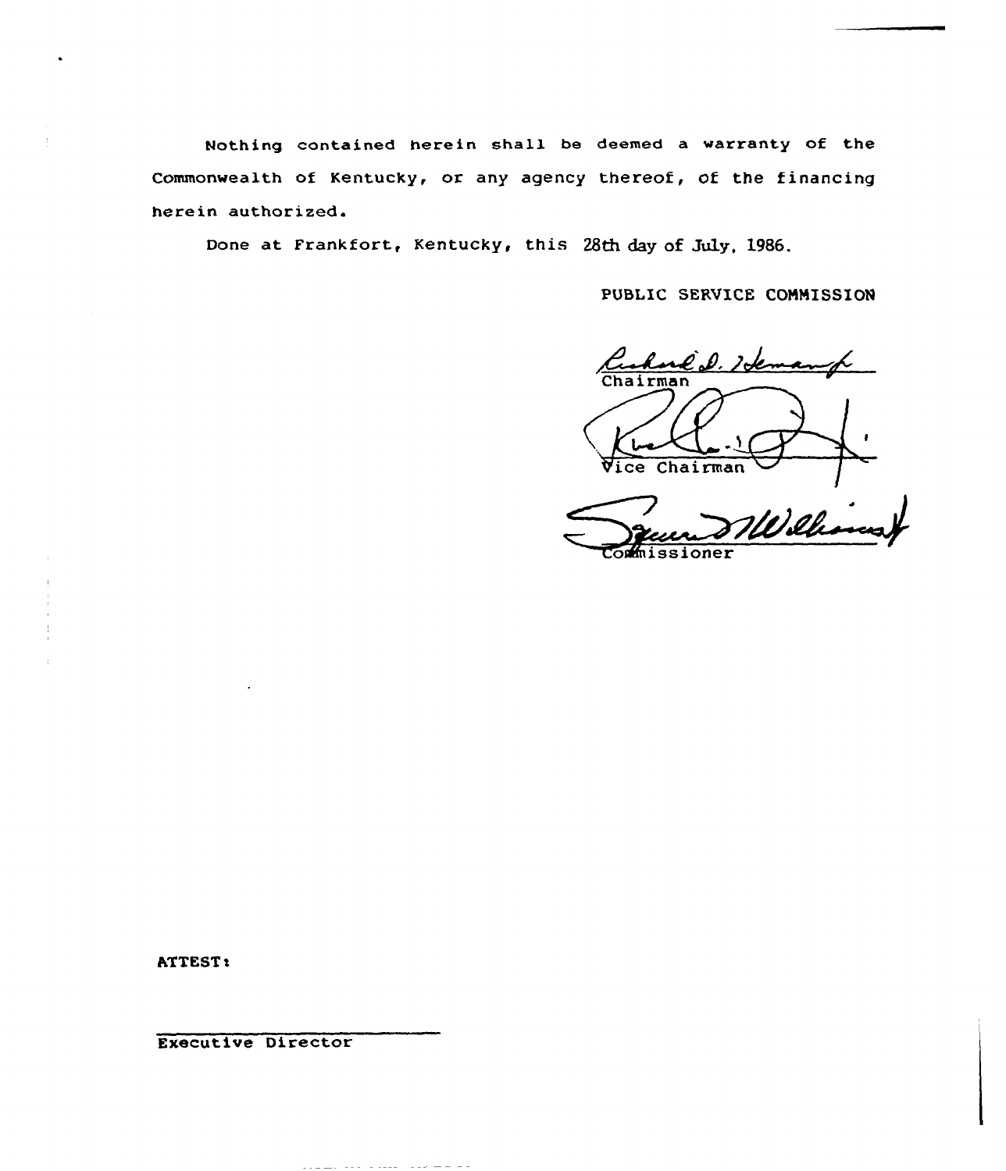Nothing contained herein shall be deemed a warranty of the Commonwealth of Kentucky, or any agency thereof, Of the financing herein authorized.

Done at Frankfort, Kentucky, this 28th day of July, 1986.

PUBLIC SERVICE COMMISSION

l D. Idem Chairman  $\bigoplus$ Vice Chairman <u>NVilh</u>

 $\sim$ mission $\sim$ 

ATTEST:

Executive Director